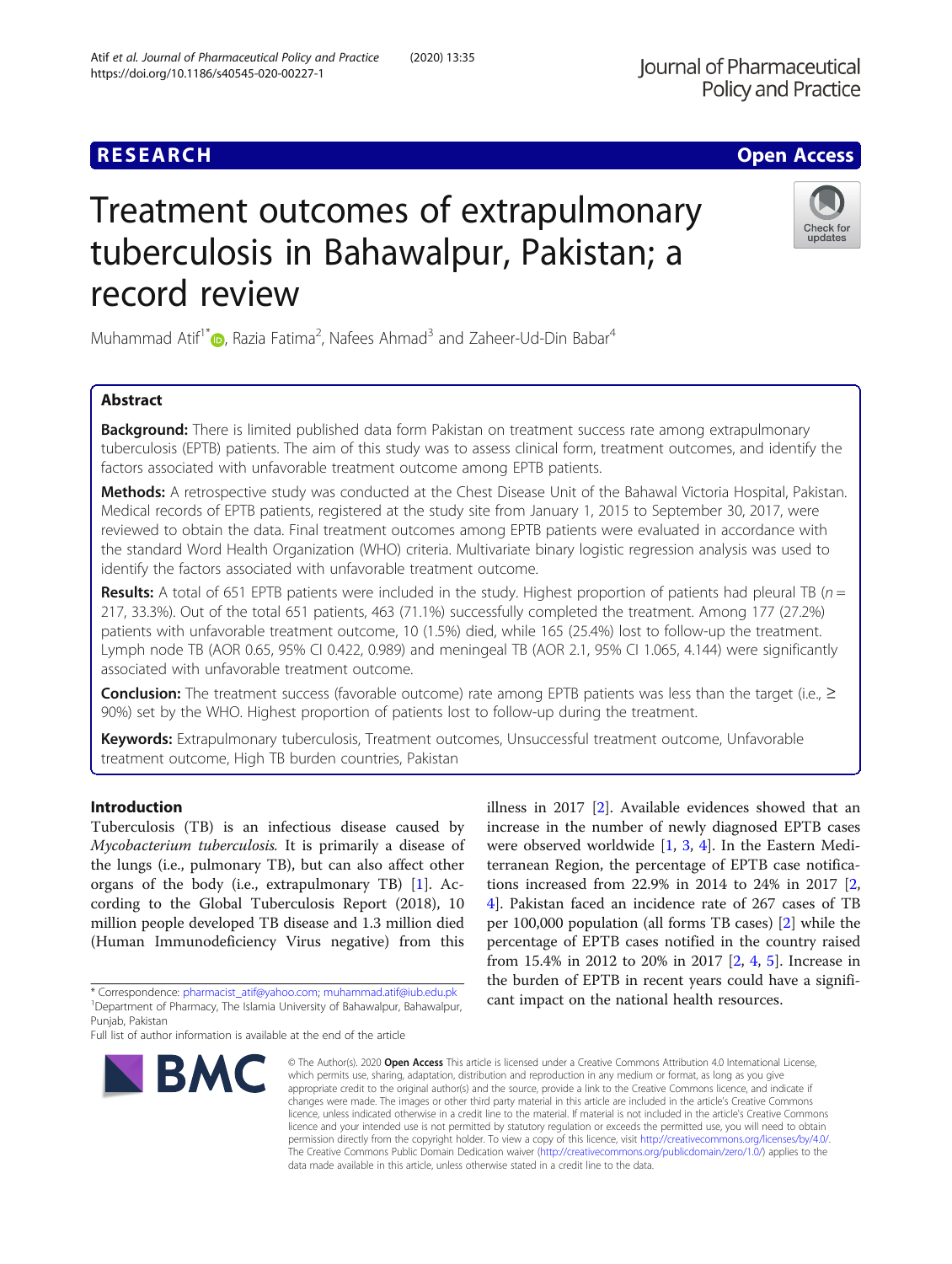## **RESEARCH CHE Open Access**

# Treatment outcomes of extrapulmonary tuberculosis in Bahawalpur, Pakistan; a record review

Muhammad Atif<sup>1\*</sup> $\textsf{O}$ [,](http://orcid.org/0000-0001-6866-8152) Razia Fatima<sup>2</sup>, Nafees Ahmad<sup>3</sup> and Zaheer-Ud-Din Babar<sup>4</sup>

## Abstract

**Background:** There is limited published data form Pakistan on treatment success rate among extrapulmonary tuberculosis (EPTB) patients. The aim of this study was to assess clinical form, treatment outcomes, and identify the factors associated with unfavorable treatment outcome among EPTB patients.

Methods: A retrospective study was conducted at the Chest Disease Unit of the Bahawal Victoria Hospital, Pakistan. Medical records of EPTB patients, registered at the study site from January 1, 2015 to September 30, 2017, were reviewed to obtain the data. Final treatment outcomes among EPTB patients were evaluated in accordance with the standard Word Health Organization (WHO) criteria. Multivariate binary logistic regression analysis was used to identify the factors associated with unfavorable treatment outcome.

Results: A total of 651 EPTB patients were included in the study. Highest proportion of patients had pleural TB ( $n =$ 217, 33.3%). Out of the total 651 patients, 463 (71.1%) successfully completed the treatment. Among 177 (27.2%) patients with unfavorable treatment outcome, 10 (1.5%) died, while 165 (25.4%) lost to follow-up the treatment. Lymph node TB (AOR 0.65, 95% CI 0.422, 0.989) and meningeal TB (AOR 2.1, 95% CI 1.065, 4.144) were significantly associated with unfavorable treatment outcome.

**Conclusion:** The treatment success (favorable outcome) rate among EPTB patients was less than the target (i.e.,  $\geq$ 90%) set by the WHO. Highest proportion of patients lost to follow-up during the treatment.

Keywords: Extrapulmonary tuberculosis, Treatment outcomes, Unsuccessful treatment outcome, Unfavorable treatment outcome, High TB burden countries, Pakistan

## Introduction

Tuberculosis (TB) is an infectious disease caused by Mycobacterium tuberculosis. It is primarily a disease of the lungs (i.e., pulmonary TB), but can also affect other organs of the body (i.e., extrapulmonary TB) [\[1](#page-5-0)]. According to the Global Tuberculosis Report (2018), 10 million people developed TB disease and 1.3 million died (Human Immunodeficiency Virus negative) from this

\* Correspondence: [pharmacist\\_atif@yahoo.com;](mailto:pharmacist_atif@yahoo.com) [muhammad.atif@iub.edu.pk](mailto:muhammad.atif@iub.edu.pk) <sup>1</sup> <sup>1</sup>Department of Pharmacy, The Islamia University of Bahawalpur, Bahawalpur, Punjab, Pakistan

**BMC** 

appropriate credit to the original author(s) and the source, provide a link to the Creative Commons licence, and indicate if changes were made. The images or other third party material in this article are included in the article's Creative Commons licence, unless indicated otherwise in a credit line to the material. If material is not included in the article's Creative Commons licence and your intended use is not permitted by statutory regulation or exceeds the permitted use, you will need to obtain permission directly from the copyright holder. To view a copy of this licence, visit [http://creativecommons.org/licenses/by/4.0/.](http://creativecommons.org/licenses/by/4.0/) The Creative Commons Public Domain Dedication waiver [\(http://creativecommons.org/publicdomain/zero/1.0/](http://creativecommons.org/publicdomain/zero/1.0/)) applies to the data made available in this article, unless otherwise stated in a credit line to the data.

© The Author(s), 2020 **Open Access** This article is licensed under a Creative Commons Attribution 4.0 International License, which permits use, sharing, adaptation, distribution and reproduction in any medium or format, as long as you give

illness in 2017 [[2](#page-5-0)]. Available evidences showed that an increase in the number of newly diagnosed EPTB cases were observed worldwide [\[1](#page-5-0), [3,](#page-5-0) [4](#page-5-0)]. In the Eastern Mediterranean Region, the percentage of EPTB case notifications increased from 22.9% in 2014 to 24% in 2017 [\[2](#page-5-0), [4\]](#page-5-0). Pakistan faced an incidence rate of 267 cases of TB per 100,000 population (all forms TB cases) [\[2\]](#page-5-0) while the percentage of EPTB cases notified in the country raised from 15.4% in 2012 to 20% in 2017 [[2,](#page-5-0) [4](#page-5-0), [5\]](#page-5-0). Increase in the burden of EPTB in recent years could have a significant impact on the national health resources.





Full list of author information is available at the end of the article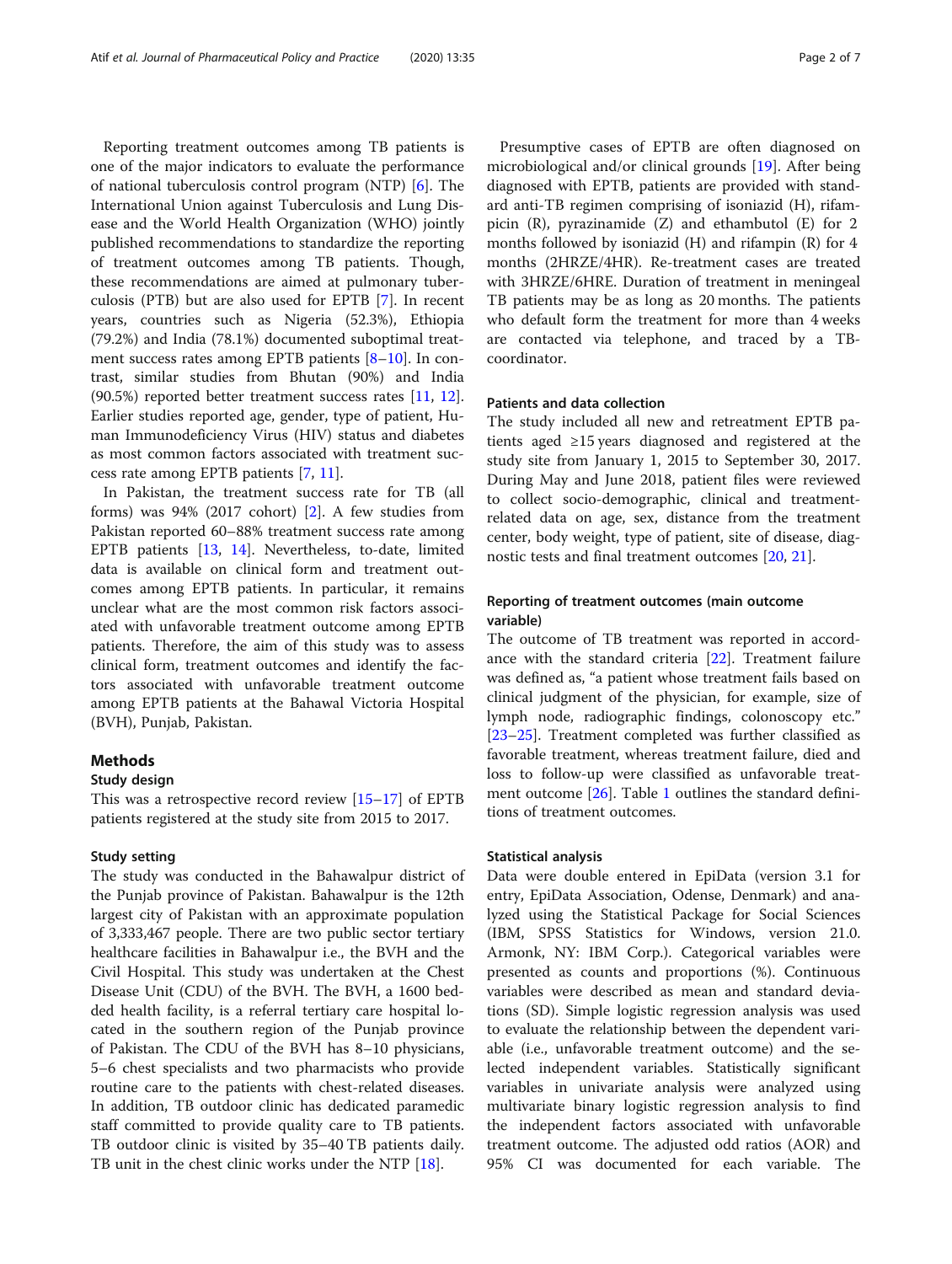Reporting treatment outcomes among TB patients is one of the major indicators to evaluate the performance of national tuberculosis control program (NTP) [[6\]](#page-5-0). The International Union against Tuberculosis and Lung Disease and the World Health Organization (WHO) jointly published recommendations to standardize the reporting of treatment outcomes among TB patients. Though, these recommendations are aimed at pulmonary tuberculosis (PTB) but are also used for EPTB [\[7](#page-5-0)]. In recent years, countries such as Nigeria (52.3%), Ethiopia (79.2%) and India (78.1%) documented suboptimal treatment success rates among EPTB patients  $[8-10]$  $[8-10]$  $[8-10]$  $[8-10]$ . In contrast, similar studies from Bhutan (90%) and India (90.5%) reported better treatment success rates [[11,](#page-6-0) [12](#page-6-0)]. Earlier studies reported age, gender, type of patient, Human Immunodeficiency Virus (HIV) status and diabetes as most common factors associated with treatment success rate among EPTB patients [[7,](#page-5-0) [11\]](#page-6-0).

In Pakistan, the treatment success rate for TB (all forms) was 94% (2017 cohort) [\[2](#page-5-0)]. A few studies from Pakistan reported 60–88% treatment success rate among EPTB patients [[13,](#page-6-0) [14](#page-6-0)]. Nevertheless, to-date, limited data is available on clinical form and treatment outcomes among EPTB patients. In particular, it remains unclear what are the most common risk factors associated with unfavorable treatment outcome among EPTB patients. Therefore, the aim of this study was to assess clinical form, treatment outcomes and identify the factors associated with unfavorable treatment outcome among EPTB patients at the Bahawal Victoria Hospital (BVH), Punjab, Pakistan.

## Methods

#### Study design

This was a retrospective record review [[15](#page-6-0)–[17](#page-6-0)] of EPTB patients registered at the study site from 2015 to 2017.

## Study setting

The study was conducted in the Bahawalpur district of the Punjab province of Pakistan. Bahawalpur is the 12th largest city of Pakistan with an approximate population of 3,333,467 people. There are two public sector tertiary healthcare facilities in Bahawalpur i.e., the BVH and the Civil Hospital. This study was undertaken at the Chest Disease Unit (CDU) of the BVH. The BVH, a 1600 bedded health facility, is a referral tertiary care hospital located in the southern region of the Punjab province of Pakistan. The CDU of the BVH has 8–10 physicians, 5–6 chest specialists and two pharmacists who provide routine care to the patients with chest-related diseases. In addition, TB outdoor clinic has dedicated paramedic staff committed to provide quality care to TB patients. TB outdoor clinic is visited by 35–40 TB patients daily. TB unit in the chest clinic works under the NTP [[18\]](#page-6-0).

Presumptive cases of EPTB are often diagnosed on microbiological and/or clinical grounds [[19](#page-6-0)]. After being diagnosed with EPTB, patients are provided with standard anti-TB regimen comprising of isoniazid (H), rifampicin (R), pyrazinamide (Z) and ethambutol (E) for 2 months followed by isoniazid (H) and rifampin (R) for 4 months (2HRZE/4HR). Re-treatment cases are treated with 3HRZE/6HRE. Duration of treatment in meningeal TB patients may be as long as 20 months. The patients who default form the treatment for more than 4 weeks are contacted via telephone, and traced by a TBcoordinator.

## Patients and data collection

The study included all new and retreatment EPTB patients aged ≥15 years diagnosed and registered at the study site from January 1, 2015 to September 30, 2017. During May and June 2018, patient files were reviewed to collect socio-demographic, clinical and treatmentrelated data on age, sex, distance from the treatment center, body weight, type of patient, site of disease, diagnostic tests and final treatment outcomes [[20](#page-6-0), [21](#page-6-0)].

## Reporting of treatment outcomes (main outcome variable)

The outcome of TB treatment was reported in accordance with the standard criteria [[22\]](#page-6-0). Treatment failure was defined as, "a patient whose treatment fails based on clinical judgment of the physician, for example, size of lymph node, radiographic findings, colonoscopy etc." [[23](#page-6-0)–[25](#page-6-0)]. Treatment completed was further classified as favorable treatment, whereas treatment failure, died and loss to follow-up were classified as unfavorable treatment outcome [[26](#page-6-0)]. Table [1](#page-2-0) outlines the standard definitions of treatment outcomes.

## Statistical analysis

Data were double entered in EpiData (version 3.1 for entry, EpiData Association, Odense, Denmark) and analyzed using the Statistical Package for Social Sciences (IBM, SPSS Statistics for Windows, version 21.0. Armonk, NY: IBM Corp.). Categorical variables were presented as counts and proportions (%). Continuous variables were described as mean and standard deviations (SD). Simple logistic regression analysis was used to evaluate the relationship between the dependent variable (i.e., unfavorable treatment outcome) and the selected independent variables. Statistically significant variables in univariate analysis were analyzed using multivariate binary logistic regression analysis to find the independent factors associated with unfavorable treatment outcome. The adjusted odd ratios (AOR) and 95% CI was documented for each variable. The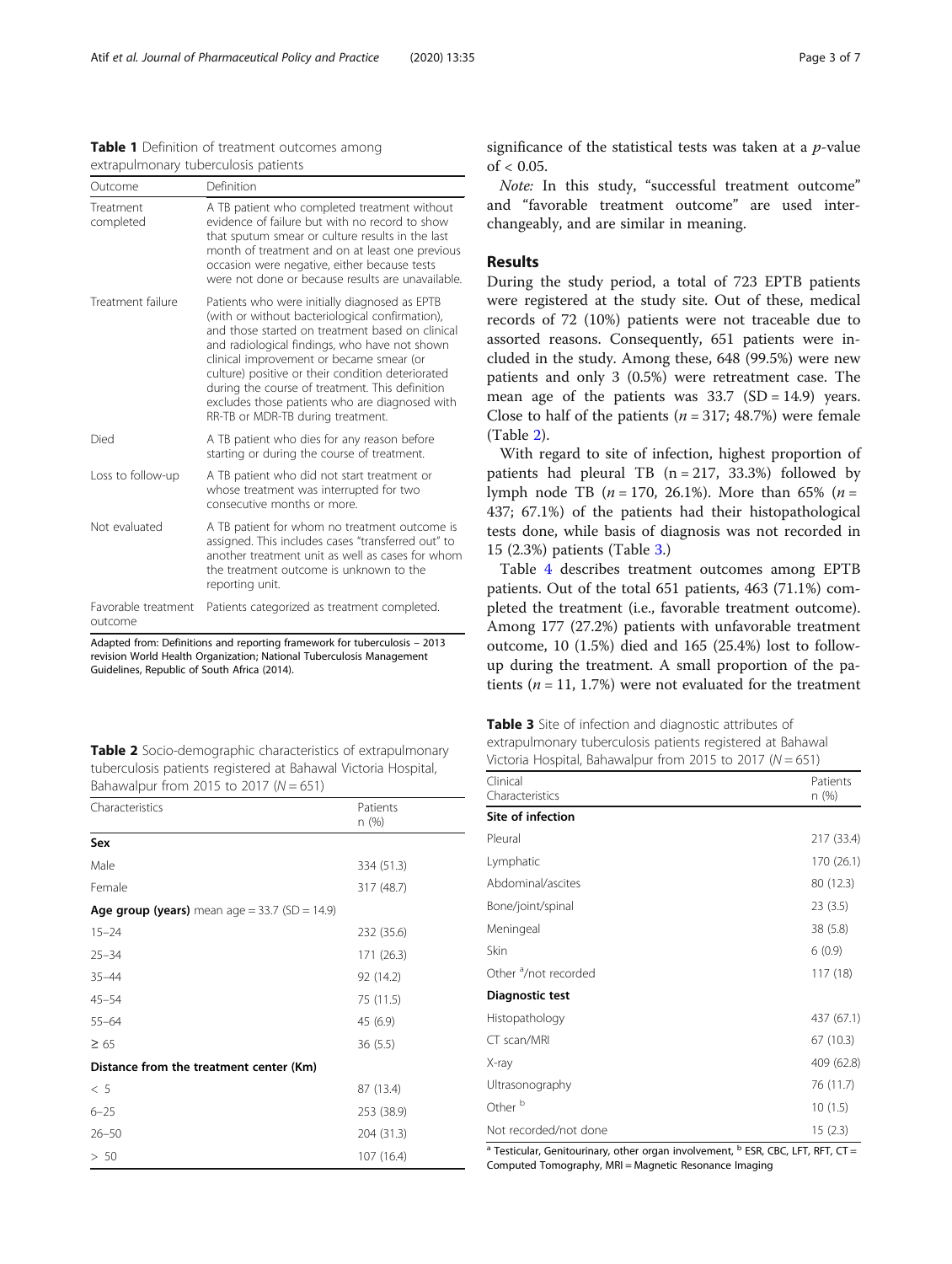<span id="page-2-0"></span>Table 1 Definition of treatment outcomes among extrapulmonary tuberculosis patients

| Outcome                        | Definition                                                                                                                                                                                                                                                                                                                                                                                                                                       |
|--------------------------------|--------------------------------------------------------------------------------------------------------------------------------------------------------------------------------------------------------------------------------------------------------------------------------------------------------------------------------------------------------------------------------------------------------------------------------------------------|
| Treatment<br>completed         | A TB patient who completed treatment without<br>evidence of failure but with no record to show<br>that sputum smear or culture results in the last<br>month of treatment and on at least one previous<br>occasion were negative, either because tests<br>were not done or because results are unavailable.                                                                                                                                       |
| Treatment failure              | Patients who were initially diagnosed as EPTB<br>(with or without bacteriological confirmation),<br>and those started on treatment based on clinical<br>and radiological findings, who have not shown<br>clinical improvement or became smear (or<br>culture) positive or their condition deteriorated<br>during the course of treatment. This definition<br>excludes those patients who are diagnosed with<br>RR-TB or MDR-TB during treatment. |
| Died                           | A TB patient who dies for any reason before<br>starting or during the course of treatment.                                                                                                                                                                                                                                                                                                                                                       |
| Loss to follow-up              | A TB patient who did not start treatment or<br>whose treatment was interrupted for two<br>consecutive months or more.                                                                                                                                                                                                                                                                                                                            |
| Not evaluated                  | A TB patient for whom no treatment outcome is<br>assigned. This includes cases "transferred out" to<br>another treatment unit as well as cases for whom<br>the treatment outcome is unknown to the<br>reporting unit.                                                                                                                                                                                                                            |
| Favorable treatment<br>outcome | Patients categorized as treatment completed.                                                                                                                                                                                                                                                                                                                                                                                                     |
|                                | . 1010 - وزوجان بوروبان به مركز راسوب بوروبية بو وزايت و مرحل الرسم و مرحلة وزايم الكويم الروبه مراح المحمدان                                                                                                                                                                                                                                                                                                                                    |

Adapted from: Definitions and reporting framework for tuberculosis – 2013 revision World Health Organization; National Tuberculosis Management Guidelines, Republic of South Africa (2014).

Table 2 Socio-demographic characteristics of extrapulmonary tuberculosis patients registered at Bahawal Victoria Hospital, Bahawalpur from 2015 to 2017 ( $N = 651$ )

| Characteristics                               | Patients<br>n (%) |  |  |
|-----------------------------------------------|-------------------|--|--|
| Sex                                           |                   |  |  |
| Male                                          | 334 (51.3)        |  |  |
| Female                                        | 317 (48.7)        |  |  |
| Age group (years) mean age = 33.7 (SD = 14.9) |                   |  |  |
| $15 - 24$                                     | 232 (35.6)        |  |  |
| $25 - 34$                                     | 171 (26.3)        |  |  |
| $35 - 44$                                     | 92 (14.2)         |  |  |
| $45 - 54$                                     | 75 (11.5)         |  |  |
| $55 - 64$                                     | 45 (6.9)          |  |  |
| $\geq 65$                                     | 36(5.5)           |  |  |
| Distance from the treatment center (Km)       |                   |  |  |
| < 5                                           | 87 (13.4)         |  |  |
| $6 - 25$                                      | 253 (38.9)        |  |  |
| $26 - 50$                                     | 204 (31.3)        |  |  |
| > 50                                          | 107 (16.4)        |  |  |

significance of the statistical tests was taken at a  $p$ -value of  $< 0.05$ .

Note: In this study, "successful treatment outcome" and "favorable treatment outcome" are used interchangeably, and are similar in meaning.

## Results

During the study period, a total of 723 EPTB patients were registered at the study site. Out of these, medical records of 72 (10%) patients were not traceable due to assorted reasons. Consequently, 651 patients were included in the study. Among these, 648 (99.5%) were new patients and only 3 (0.5%) were retreatment case. The mean age of the patients was  $33.7$  (SD = 14.9) years. Close to half of the patients ( $n = 317$ ; 48.7%) were female (Table 2).

With regard to site of infection, highest proportion of patients had pleural TB  $(n = 217, 33.3%)$  followed by lymph node TB ( $n = 170, 26.1\%$ ). More than 65% ( $n =$ 437; 67.1%) of the patients had their histopathological tests done, while basis of diagnosis was not recorded in 15 (2.3%) patients (Table 3.)

Table [4](#page-3-0) describes treatment outcomes among EPTB patients. Out of the total 651 patients, 463 (71.1%) completed the treatment (i.e., favorable treatment outcome). Among 177 (27.2%) patients with unfavorable treatment outcome, 10 (1.5%) died and 165 (25.4%) lost to followup during the treatment. A small proportion of the patients ( $n = 11$ , 1.7%) were not evaluated for the treatment

| Table 3 Site of infection and diagnostic attributes of        |
|---------------------------------------------------------------|
| extrapulmonary tuberculosis patients registered at Bahawal    |
| Victoria Hospital, Bahawalpur from 2015 to 2017 ( $N = 651$ ) |

| Clinical<br>Characteristics      | Patients<br>n (%) |
|----------------------------------|-------------------|
| Site of infection                |                   |
| Pleural                          | 217 (33.4)        |
| Lymphatic                        | 170 (26.1)        |
| Abdominal/ascites                | 80 (12.3)         |
| Bone/joint/spinal                | 23(3.5)           |
| Meningeal                        | 38 (5.8)          |
| Skin                             | 6(0.9)            |
| Other <sup>a</sup> /not recorded | 117(18)           |
| Diagnostic test                  |                   |
| Histopathology                   | 437 (67.1)        |
| CT scan/MRI                      | 67 (10.3)         |
| X-ray                            | 409 (62.8)        |
| Ultrasonography                  | 76 (11.7)         |
| Other <sup>b</sup>               | 10(1.5)           |
| Not recorded/not done            | 15(2.3)           |

 $a^2$  Testicular, Genitourinary, other organ involvement,  $b^2$  ESR, CBC, LFT, RFT, CT = Computed Tomography, MRI = Magnetic Resonance Imaging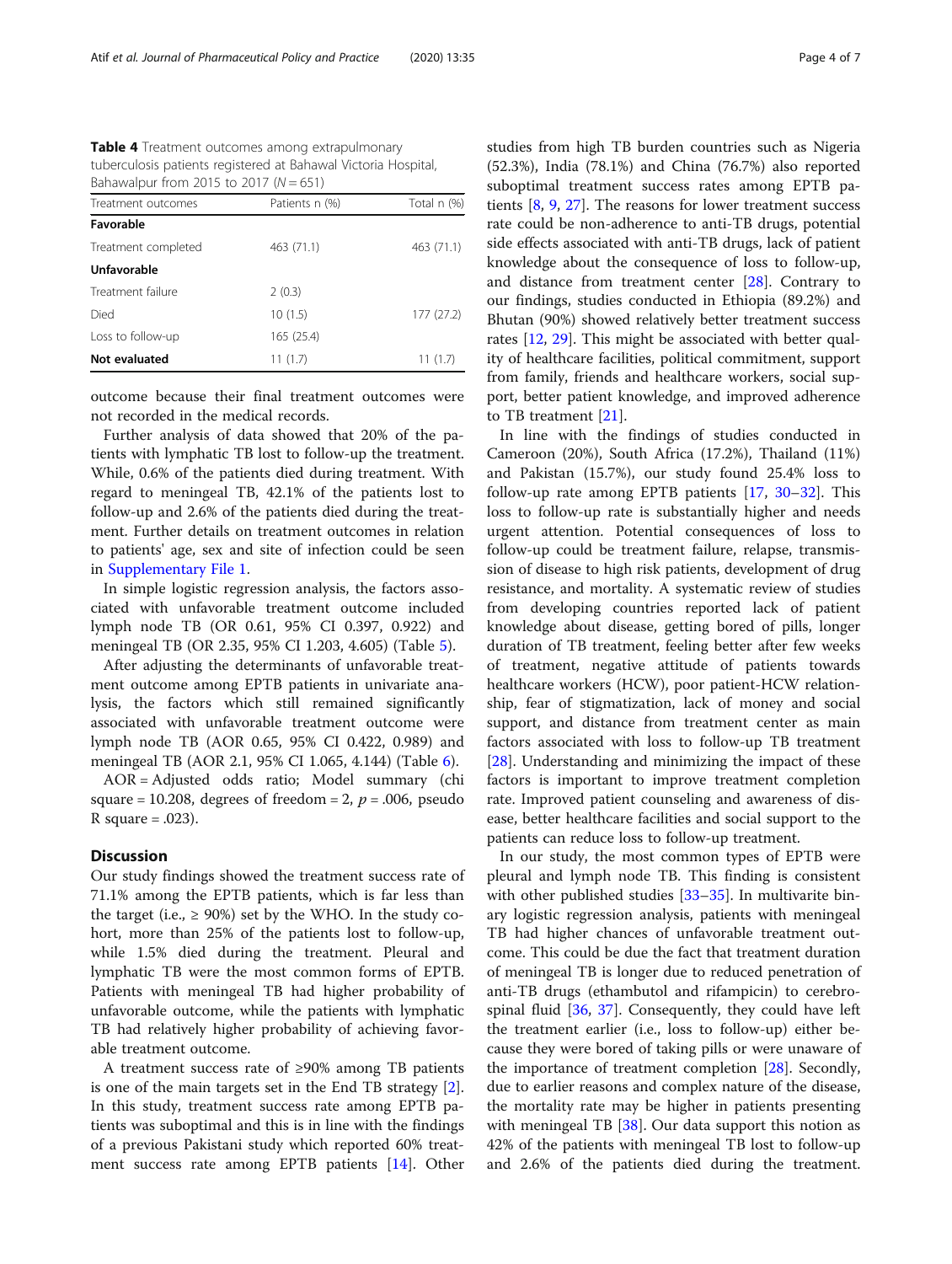<span id="page-3-0"></span>Table 4 Treatment outcomes among extrapulmonary tuberculosis patients registered at Bahawal Victoria Hospital, Bahawalpur from 2015 to 2017  $(N = 651)$ 

| Treatment outcomes  | Patients n (%) | Total n (%) |
|---------------------|----------------|-------------|
| Favorable           |                |             |
| Treatment completed | 463 (71.1)     | 463 (71.1)  |
| Unfavorable         |                |             |
| Treatment failure   | 2(0.3)         |             |
| Died                | 10(1.5)        | 177(27.2)   |
| Loss to follow-up   | 165 (25.4)     |             |
| Not evaluated       | 11(1.7)        | 11(1.7)     |
|                     |                |             |

outcome because their final treatment outcomes were not recorded in the medical records.

Further analysis of data showed that 20% of the patients with lymphatic TB lost to follow-up the treatment. While, 0.6% of the patients died during treatment. With regard to meningeal TB, 42.1% of the patients lost to follow-up and 2.6% of the patients died during the treatment. Further details on treatment outcomes in relation to patients' age, sex and site of infection could be seen in [Supplementary File 1](#page-5-0).

In simple logistic regression analysis, the factors associated with unfavorable treatment outcome included lymph node TB (OR 0.61, 95% CI 0.397, 0.922) and meningeal TB (OR 2.35, 95% CI 1.203, 4.605) (Table [5](#page-4-0)).

After adjusting the determinants of unfavorable treatment outcome among EPTB patients in univariate analysis, the factors which still remained significantly associated with unfavorable treatment outcome were lymph node TB (AOR 0.65, 95% CI 0.422, 0.989) and meningeal TB (AOR 2.1, 95% CI 1.065, 4.144) (Table [6](#page-4-0)).

AOR = Adjusted odds ratio; Model summary (chi square = 10.208, degrees of freedom = 2,  $p = .006$ , pseudo R square  $= .023$ ).

## **Discussion**

Our study findings showed the treatment success rate of 71.1% among the EPTB patients, which is far less than the target (i.e.,  $\geq$  90%) set by the WHO. In the study cohort, more than 25% of the patients lost to follow-up, while 1.5% died during the treatment. Pleural and lymphatic TB were the most common forms of EPTB. Patients with meningeal TB had higher probability of unfavorable outcome, while the patients with lymphatic TB had relatively higher probability of achieving favorable treatment outcome.

A treatment success rate of ≥90% among TB patients is one of the main targets set in the End TB strategy [\[2](#page-5-0)]. In this study, treatment success rate among EPTB patients was suboptimal and this is in line with the findings of a previous Pakistani study which reported 60% treatment success rate among EPTB patients [\[14](#page-6-0)]. Other studies from high TB burden countries such as Nigeria (52.3%), India (78.1%) and China (76.7%) also reported suboptimal treatment success rates among EPTB patients [[8](#page-5-0), [9,](#page-5-0) [27\]](#page-6-0). The reasons for lower treatment success rate could be non-adherence to anti-TB drugs, potential side effects associated with anti-TB drugs, lack of patient knowledge about the consequence of loss to follow-up, and distance from treatment center [\[28\]](#page-6-0). Contrary to our findings, studies conducted in Ethiopia (89.2%) and Bhutan (90%) showed relatively better treatment success rates [\[12](#page-6-0), [29](#page-6-0)]. This might be associated with better quality of healthcare facilities, political commitment, support from family, friends and healthcare workers, social support, better patient knowledge, and improved adherence to TB treatment [\[21](#page-6-0)].

In line with the findings of studies conducted in Cameroon (20%), South Africa (17.2%), Thailand (11%) and Pakistan (15.7%), our study found 25.4% loss to follow-up rate among EPTB patients [[17](#page-6-0), [30](#page-6-0)–[32\]](#page-6-0). This loss to follow-up rate is substantially higher and needs urgent attention. Potential consequences of loss to follow-up could be treatment failure, relapse, transmission of disease to high risk patients, development of drug resistance, and mortality. A systematic review of studies from developing countries reported lack of patient knowledge about disease, getting bored of pills, longer duration of TB treatment, feeling better after few weeks of treatment, negative attitude of patients towards healthcare workers (HCW), poor patient-HCW relationship, fear of stigmatization, lack of money and social support, and distance from treatment center as main factors associated with loss to follow-up TB treatment [[28\]](#page-6-0). Understanding and minimizing the impact of these factors is important to improve treatment completion rate. Improved patient counseling and awareness of disease, better healthcare facilities and social support to the patients can reduce loss to follow-up treatment.

In our study, the most common types of EPTB were pleural and lymph node TB. This finding is consistent with other published studies [\[33](#page-6-0)–[35\]](#page-6-0). In multivarite binary logistic regression analysis, patients with meningeal TB had higher chances of unfavorable treatment outcome. This could be due the fact that treatment duration of meningeal TB is longer due to reduced penetration of anti-TB drugs (ethambutol and rifampicin) to cerebrospinal fluid  $[36, 37]$  $[36, 37]$  $[36, 37]$ . Consequently, they could have left the treatment earlier (i.e., loss to follow-up) either because they were bored of taking pills or were unaware of the importance of treatment completion [[28\]](#page-6-0). Secondly, due to earlier reasons and complex nature of the disease, the mortality rate may be higher in patients presenting with meningeal TB [[38](#page-6-0)]. Our data support this notion as 42% of the patients with meningeal TB lost to follow-up and 2.6% of the patients died during the treatment.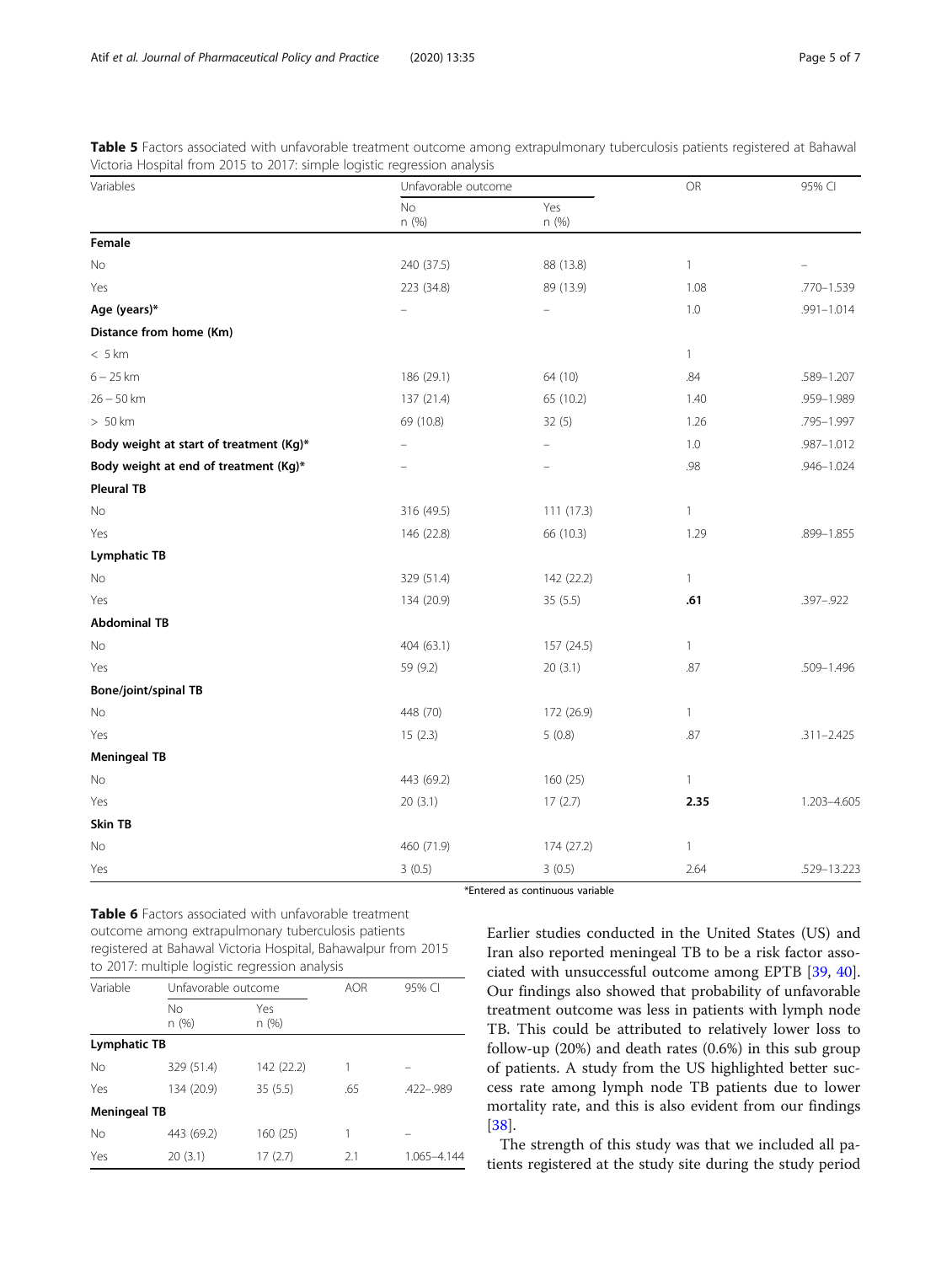<span id="page-4-0"></span>Table 5 Factors associated with unfavorable treatment outcome among extrapulmonary tuberculosis patients registered at Bahawal Victoria Hospital from 2015 to 2017: simple logistic regression analysis

| Variables                               | Unfavorable outcome      |              | <b>OR</b>    | 95% CI         |
|-----------------------------------------|--------------------------|--------------|--------------|----------------|
|                                         | No<br>n (%)              | Yes<br>n (%) |              |                |
| Female                                  |                          |              |              |                |
| No                                      | 240 (37.5)               | 88 (13.8)    | $\mathbf{1}$ |                |
| Yes                                     | 223 (34.8)               | 89 (13.9)    | 1.08         | .770-1.539     |
| Age (years)*                            | $\overline{\phantom{0}}$ |              | $1.0\,$      | $.991 - 1.014$ |
| Distance from home (Km)                 |                          |              |              |                |
| < 5 km                                  |                          |              | $\mathbf{1}$ |                |
| $6 - 25$ km                             | 186 (29.1)               | 64 (10)      | .84          | .589-1.207     |
| $26 - 50$ km                            | 137 (21.4)               | 65 (10.2)    | 1.40         | .959-1.989     |
| $>50$ km                                | 69 (10.8)                | 32(5)        | 1.26         | .795-1.997     |
| Body weight at start of treatment (Kg)* | $\qquad \qquad$          |              | 1.0          | .987-1.012     |
| Body weight at end of treatment (Kg)*   |                          |              | .98          | .946-1.024     |
| <b>Pleural TB</b>                       |                          |              |              |                |
| No                                      | 316 (49.5)               | 111 (17.3)   | $\mathbf{1}$ |                |
| Yes                                     | 146 (22.8)               | 66 (10.3)    | 1.29         | .899-1.855     |
| <b>Lymphatic TB</b>                     |                          |              |              |                |
| No                                      | 329 (51.4)               | 142 (22.2)   | $\mathbf{1}$ |                |
| Yes                                     | 134 (20.9)               | 35(5.5)      | .61          | .397-.922      |
| <b>Abdominal TB</b>                     |                          |              |              |                |
| No                                      | 404 (63.1)               | 157 (24.5)   | $\mathbf{1}$ |                |
| Yes                                     | 59 (9.2)                 | 20(3.1)      | .87          | .509-1.496     |
| <b>Bone/joint/spinal TB</b>             |                          |              |              |                |
| No                                      | 448 (70)                 | 172 (26.9)   | $\mathbf{1}$ |                |
| Yes                                     | 15(2.3)                  | 5(0.8)       | .87          | $.311 - 2.425$ |
| <b>Meningeal TB</b>                     |                          |              |              |                |
| No                                      | 443 (69.2)               | 160 (25)     | $\mathbf{1}$ |                |
| Yes                                     | 20(3.1)                  | 17(2.7)      | 2.35         | 1.203-4.605    |
| Skin TB                                 |                          |              |              |                |
| No                                      | 460 (71.9)               | 174 (27.2)   | $\mathbf{1}$ |                |
| Yes                                     | 3(0.5)                   | 3(0.5)       | 2.64         | .529-13.223    |

\*Entered as continuous variable

Table 6 Factors associated with unfavorable treatment outcome among extrapulmonary tuberculosis patients registered at Bahawal Victoria Hospital, Bahawalpur from 2015 to 2017: multiple logistic regression analysis

| Variable            | Unfavorable outcome |             | <b>AOR</b> | 95% CI      |
|---------------------|---------------------|-------------|------------|-------------|
|                     | No.<br>n (%)        | Yes<br>n(%) |            |             |
| Lymphatic TB        |                     |             |            |             |
| No                  | 329 (51.4)          | 142 (22.2)  |            |             |
| Yes                 | 134 (20.9)          | 35(5.5)     | .65        | .422-.989   |
| <b>Meningeal TB</b> |                     |             |            |             |
| No                  | 443 (69.2)          | 160(25)     |            |             |
| Yes                 | 20(3.1)             | 17(2.7)     | 2.1        | 1.065-4.144 |

Earlier studies conducted in the United States (US) and Iran also reported meningeal TB to be a risk factor associated with unsuccessful outcome among EPTB [\[39,](#page-6-0) [40](#page-6-0)]. Our findings also showed that probability of unfavorable treatment outcome was less in patients with lymph node TB. This could be attributed to relatively lower loss to follow-up (20%) and death rates (0.6%) in this sub group of patients. A study from the US highlighted better success rate among lymph node TB patients due to lower mortality rate, and this is also evident from our findings [[38\]](#page-6-0).

The strength of this study was that we included all patients registered at the study site during the study period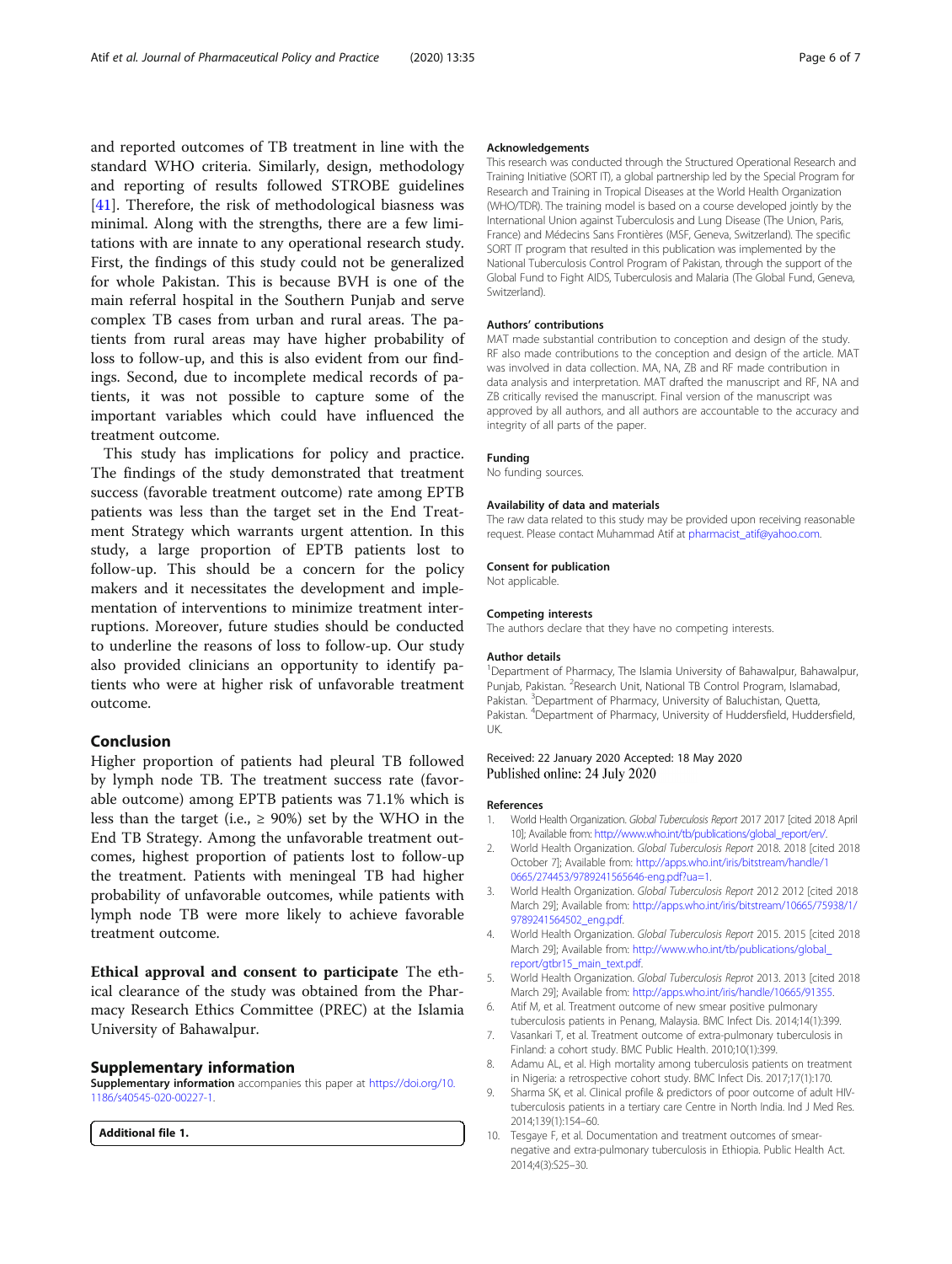<span id="page-5-0"></span>and reported outcomes of TB treatment in line with the standard WHO criteria. Similarly, design, methodology and reporting of results followed STROBE guidelines [[41\]](#page-6-0). Therefore, the risk of methodological biasness was minimal. Along with the strengths, there are a few limitations with are innate to any operational research study. First, the findings of this study could not be generalized for whole Pakistan. This is because BVH is one of the main referral hospital in the Southern Punjab and serve complex TB cases from urban and rural areas. The patients from rural areas may have higher probability of loss to follow-up, and this is also evident from our findings. Second, due to incomplete medical records of patients, it was not possible to capture some of the important variables which could have influenced the treatment outcome.

This study has implications for policy and practice. The findings of the study demonstrated that treatment success (favorable treatment outcome) rate among EPTB patients was less than the target set in the End Treatment Strategy which warrants urgent attention. In this study, a large proportion of EPTB patients lost to follow-up. This should be a concern for the policy makers and it necessitates the development and implementation of interventions to minimize treatment interruptions. Moreover, future studies should be conducted to underline the reasons of loss to follow-up. Our study also provided clinicians an opportunity to identify patients who were at higher risk of unfavorable treatment outcome.

## Conclusion

Higher proportion of patients had pleural TB followed by lymph node TB. The treatment success rate (favorable outcome) among EPTB patients was 71.1% which is less than the target (i.e.,  $\geq$  90%) set by the WHO in the End TB Strategy. Among the unfavorable treatment outcomes, highest proportion of patients lost to follow-up the treatment. Patients with meningeal TB had higher probability of unfavorable outcomes, while patients with lymph node TB were more likely to achieve favorable treatment outcome.

Ethical approval and consent to participate The ethical clearance of the study was obtained from the Pharmacy Research Ethics Committee (PREC) at the Islamia University of Bahawalpur.

## Supplementary information

Supplementary information accompanies this paper at [https://doi.org/10.](https://doi.org/10.1186/s40545-020-00227-1) [1186/s40545-020-00227-1](https://doi.org/10.1186/s40545-020-00227-1).

Additional file 1.

#### Acknowledgements

This research was conducted through the Structured Operational Research and Training Initiative (SORT IT), a global partnership led by the Special Program for Research and Training in Tropical Diseases at the World Health Organization (WHO/TDR). The training model is based on a course developed jointly by the International Union against Tuberculosis and Lung Disease (The Union, Paris, France) and Médecins Sans Frontières (MSF, Geneva, Switzerland). The specific SORT IT program that resulted in this publication was implemented by the National Tuberculosis Control Program of Pakistan, through the support of the Global Fund to Fight AIDS, Tuberculosis and Malaria (The Global Fund, Geneva, Switzerland).

#### Authors' contributions

MAT made substantial contribution to conception and design of the study. RF also made contributions to the conception and design of the article. MAT was involved in data collection. MA, NA, ZB and RF made contribution in data analysis and interpretation. MAT drafted the manuscript and RF, NA and ZB critically revised the manuscript. Final version of the manuscript was approved by all authors, and all authors are accountable to the accuracy and integrity of all parts of the paper.

#### Funding

No funding sources.

#### Availability of data and materials

The raw data related to this study may be provided upon receiving reasonable request. Please contact Muhammad Atif at [pharmacist\\_atif@yahoo.com.](mailto:pharmacist_atif@yahoo.com)

#### Consent for publication

Not applicable.

#### Competing interests

The authors declare that they have no competing interests.

#### Author details

<sup>1</sup>Department of Pharmacy, The Islamia University of Bahawalpur, Bahawalpur, Punjab, Pakistan. <sup>2</sup>Research Unit, National TB Control Program, Islamabad Pakistan. <sup>3</sup>Department of Pharmacy, University of Baluchistan, Quetta, Pakistan. <sup>4</sup>Department of Pharmacy, University of Huddersfield, Huddersfield, UK.

## Received: 22 January 2020 Accepted: 18 May 2020 Published online: 24 July 2020

#### References

- 1. World Health Organization. Global Tuberculosis Report 2017 2017 [cited 2018 April 10]; Available from: [http://www.who.int/tb/publications/global\\_report/en/.](http://www.who.int/tb/publications/global_report/en/)
- 2. World Health Organization. Global Tuberculosis Report 2018. 2018 [cited 2018 October 7]; Available from: [http://apps.who.int/iris/bitstream/handle/1](http://apps.who.int/iris/bitstream/handle/10665/274453/9789241565646-eng.pdf?ua=1) [0665/274453/9789241565646-eng.pdf?ua=1](http://apps.who.int/iris/bitstream/handle/10665/274453/9789241565646-eng.pdf?ua=1).
- 3. World Health Organization. Global Tuberculosis Report 2012 2012 [cited 2018 March 29]; Available from: [http://apps.who.int/iris/bitstream/10665/75938/1/](http://apps.who.int/iris/bitstream/10665/75938/1/9789241564502_eng.pdf) [9789241564502\\_eng.pdf](http://apps.who.int/iris/bitstream/10665/75938/1/9789241564502_eng.pdf).
- 4. World Health Organization. Global Tuberculosis Report 2015. 2015 [cited 2018 March 29]; Available from: [http://www.who.int/tb/publications/global\\_](http://www.who.int/tb/publications/global_report/gtbr15_main_text.pdf) [report/gtbr15\\_main\\_text.pdf](http://www.who.int/tb/publications/global_report/gtbr15_main_text.pdf).
- 5. World Health Organization. Global Tuberculosis Reprot 2013. 2013 [cited 2018 March 29]; Available from: <http://apps.who.int/iris/handle/10665/91355>.
- 6. Atif M, et al. Treatment outcome of new smear positive pulmonary tuberculosis patients in Penang, Malaysia. BMC Infect Dis. 2014;14(1):399.
- 7. Vasankari T, et al. Treatment outcome of extra-pulmonary tuberculosis in Finland: a cohort study. BMC Public Health. 2010;10(1):399.
- 8. Adamu AL, et al. High mortality among tuberculosis patients on treatment in Nigeria: a retrospective cohort study. BMC Infect Dis. 2017;17(1):170.
- 9. Sharma SK, et al. Clinical profile & predictors of poor outcome of adult HIVtuberculosis patients in a tertiary care Centre in North India. Ind J Med Res. 2014;139(1):154–60.
- 10. Tesgaye F, et al. Documentation and treatment outcomes of smearnegative and extra-pulmonary tuberculosis in Ethiopia. Public Health Act. 2014;4(3):S25–30.